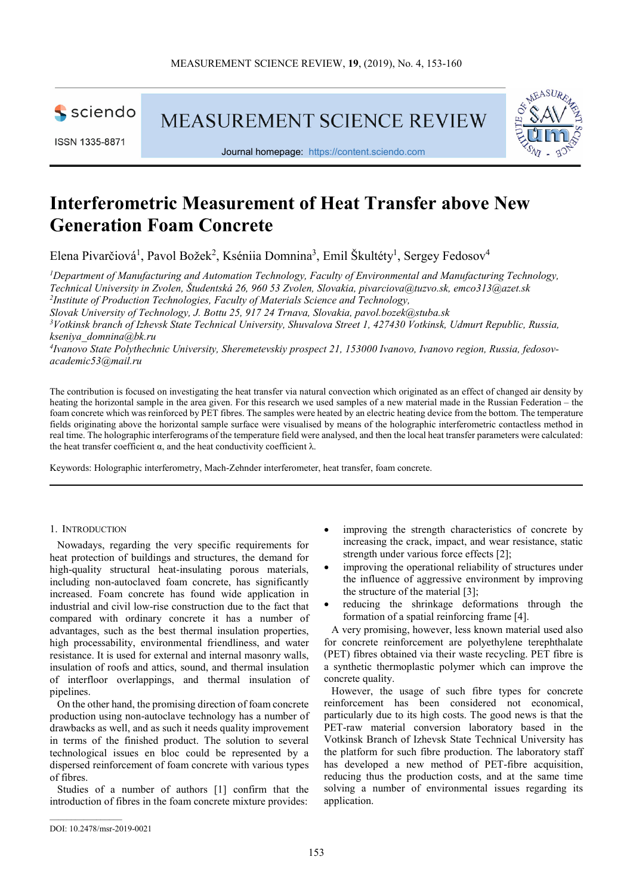

ISSN 1335-8871

**MEASUREMENT SCIENCE REVIEW** 



Journal homepage: https://content.sciendo.com

# **Interferometric Measurement of Heat Transfer above New Generation Foam Concrete**

Elena Pivarčiová<sup>1</sup>, Pavol Božek<sup>2</sup>, Kséniia Domnina<sup>3</sup>, Emil Škultéty<sup>1</sup>, Sergey Fedosov<sup>4</sup>

*<sup>1</sup>Department of Manufacturing and Automation Technology, Faculty of Environmental and Manufacturing Technology, Technical University in Zvolen, Študentská 26, 960 53 Zvolen, Slovakia, pivarciova@tuzvo.sk, emco313@azet.sk 2 Institute of Production Technologies, Faculty of Materials Science and Technology, Slovak University of Technology, J. Bottu 25, 917 24 Trnava, Slovakia, pavol.bozek@stuba.sk* 

*<sup>3</sup>Votkinsk branch of Izhevsk State Technical University, Shuvalova Street 1, 427430 Votkinsk, Udmurt Republic, Russia, kseniya\_domnina@bk.ru* 

*4 Ivanovo State Polythechnic University, Sheremetevskiy prospect 21, 153000 Ivanovo, Ivanovo region, Russia, fedosovacademic53@mail.ru* 

The contribution is focused on investigating the heat transfer via natural convection which originated as an effect of changed air density by heating the horizontal sample in the area given. For this research we used samples of a new material made in the Russian Federation – the foam concrete which was reinforced by PET fibres. The samples were heated by an electric heating device from the bottom. The temperature fields originating above the horizontal sample surface were visualised by means of the holographic interferometric contactless method in real time. The holographic interferograms of the temperature field were analysed, and then the local heat transfer parameters were calculated: the heat transfer coefficient  $α$ , and the heat conductivity coefficient  $λ$ .

Keywords: Holographic interferometry, Mach-Zehnder interferometer, heat transfer, foam concrete.

## 1. INTRODUCTION

Nowadays, regarding the very specific requirements for heat protection of buildings and structures, the demand for high-quality structural heat-insulating porous materials, including non-autoclaved foam concrete, has significantly increased. Foam concrete has found wide application in industrial and civil low-rise construction due to the fact that compared with ordinary concrete it has a number of advantages, such as the best thermal insulation properties, high processability, environmental friendliness, and water resistance. It is used for external and internal masonry walls, insulation of roofs and attics, sound, and thermal insulation of interfloor overlappings, and thermal insulation of pipelines.

On the other hand, the promising direction of foam concrete production using non-autoclave technology has a number of drawbacks as well, and as such it needs quality improvement in terms of the finished product. The solution to several technological issues en bloc could be represented by a dispersed reinforcement of foam concrete with various types of fibres.

Studies of a number of authors [1] confirm that the introduction of fibres in the foam concrete mixture provides:

- improving the strength characteristics of concrete by increasing the crack, impact, and wear resistance, static strength under various force effects [2];
- improving the operational reliability of structures under the influence of aggressive environment by improving the structure of the material [3];
- reducing the shrinkage deformations through the formation of a spatial reinforcing frame [4].

A very promising, however, less known material used also for concrete reinforcement are polyethylene terephthalate (PET) fibres obtained via their waste recycling. PET fibre is a synthetic thermoplastic polymer which can improve the concrete quality.

However, the usage of such fibre types for concrete reinforcement has been considered not economical, particularly due to its high costs. The good news is that the PET-raw material conversion laboratory based in the Votkinsk Branch of Izhevsk State Technical University has the platform for such fibre production. The laboratory staff has developed a new method of PET-fibre acquisition, reducing thus the production costs, and at the same time solving a number of environmental issues regarding its application.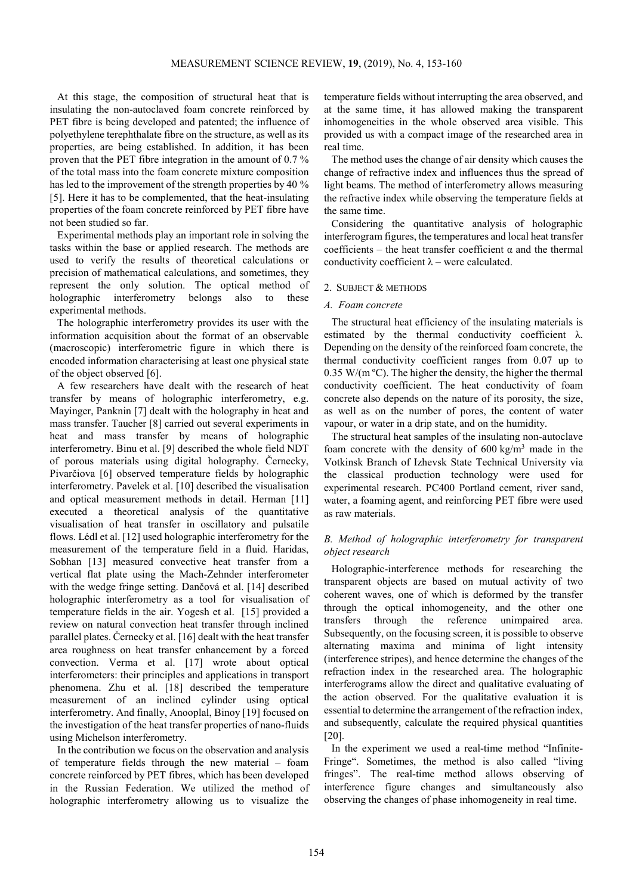At this stage, the composition of structural heat that is insulating the non-autoclaved foam concrete reinforced by PET fibre is being developed and patented; the influence of polyethylene terephthalate fibre on the structure, as well as its properties, are being established. In addition, it has been proven that the PET fibre integration in the amount of 0.7 % of the total mass into the foam concrete mixture composition has led to the improvement of the strength properties by 40 % [5]. Here it has to be complemented, that the heat-insulating properties of the foam concrete reinforced by PET fibre have not been studied so far.

Experimental methods play an important role in solving the tasks within the base or applied research. The methods are used to verify the results of theoretical calculations or precision of mathematical calculations, and sometimes, they represent the only solution. The optical method of holographic interferometry belongs also to these experimental methods.

The holographic interferometry provides its user with the information acquisition about the format of an observable (macroscopic) interferometric figure in which there is encoded information characterising at least one physical state of the object observed [6].

A few researchers have dealt with the research of heat transfer by means of holographic interferometry, e.g. Mayinger, Panknin [7] dealt with the holography in heat and mass transfer. Taucher [8] carried out several experiments in heat and mass transfer by means of holographic interferometry. Binu et al. [9] described the whole field NDT of porous materials using digital holography. Černecky, Pivarčiova [6] observed temperature fields by holographic interferometry. Pavelek et al. [10] described the visualisation and optical measurement methods in detail. Herman [11] executed a theoretical analysis of the quantitative visualisation of heat transfer in oscillatory and pulsatile flows. Lédl et al. [12] used holographic interferometry for the measurement of the temperature field in a fluid. Haridas, Sobhan [13] measured convective heat transfer from a vertical flat plate using the Mach-Zehnder interferometer with the wedge fringe setting. Dančová et al. [14] described holographic interferometry as a tool for visualisation of temperature fields in the air. Yogesh et al. [15] provided a review on natural convection heat transfer through inclined parallel plates. Černecky et al. [16] dealt with the heat transfer area roughness on heat transfer enhancement by a forced convection. Verma et al. [17] wrote about optical interferometers: their principles and applications in transport phenomena. Zhu et al. [18] described the temperature measurement of an inclined cylinder using optical interferometry. And finally, Anooplal, Binoy [19] focused on the investigation of the heat transfer properties of nano-fluids using Michelson interferometry.

In the contribution we focus on the observation and analysis of temperature fields through the new material – foam concrete reinforced by PET fibres, which has been developed in the Russian Federation. We utilized the method of holographic interferometry allowing us to visualize the temperature fields without interrupting the area observed, and at the same time, it has allowed making the transparent inhomogeneities in the whole observed area visible. This provided us with a compact image of the researched area in real time.

The method uses the change of air density which causes the change of refractive index and influences thus the spread of light beams. The method of interferometry allows measuring the refractive index while observing the temperature fields at the same time.

Considering the quantitative analysis of holographic interferogram figures, the temperatures and local heat transfer coefficients – the heat transfer coefficient  $\alpha$  and the thermal conductivity coefficient  $\lambda$  – were calculated.

## 2. SUBJECT & METHODS

## *A. Foam concrete*

The structural heat efficiency of the insulating materials is estimated by the thermal conductivity coefficient  $\lambda$ . Depending on the density of the reinforced foam concrete, the thermal conductivity coefficient ranges from 0.07 up to 0.35 W/( $m^{\circ}$ C). The higher the density, the higher the thermal conductivity coefficient. The heat conductivity of foam concrete also depends on the nature of its porosity, the size, as well as on the number of pores, the content of water vapour, or water in a drip state, and on the humidity.

The structural heat samples of the insulating non-autoclave foam concrete with the density of  $600 \text{ kg/m}^3$  made in the Votkinsk Branch of Izhevsk State Technical University via the classical production technology were used for experimental research. PC400 Portland cement, river sand, water, a foaming agent, and reinforcing PET fibre were used as raw materials.

# *B. Method of holographic interferometry for transparent object research*

Holographic-interference methods for researching the transparent objects are based on mutual activity of two coherent waves, one of which is deformed by the transfer through the optical inhomogeneity, and the other one transfers through the reference unimpaired area. Subsequently, on the focusing screen, it is possible to observe alternating maxima and minima of light intensity (interference stripes), and hence determine the changes of the refraction index in the researched area. The holographic interferograms allow the direct and qualitative evaluating of the action observed. For the qualitative evaluation it is essential to determine the arrangement of the refraction index, and subsequently, calculate the required physical quantities [20].

In the experiment we used a real-time method "Infinite-Fringe". Sometimes, the method is also called "living fringes". The real-time method allows observing of interference figure changes and simultaneously also observing the changes of phase inhomogeneity in real time.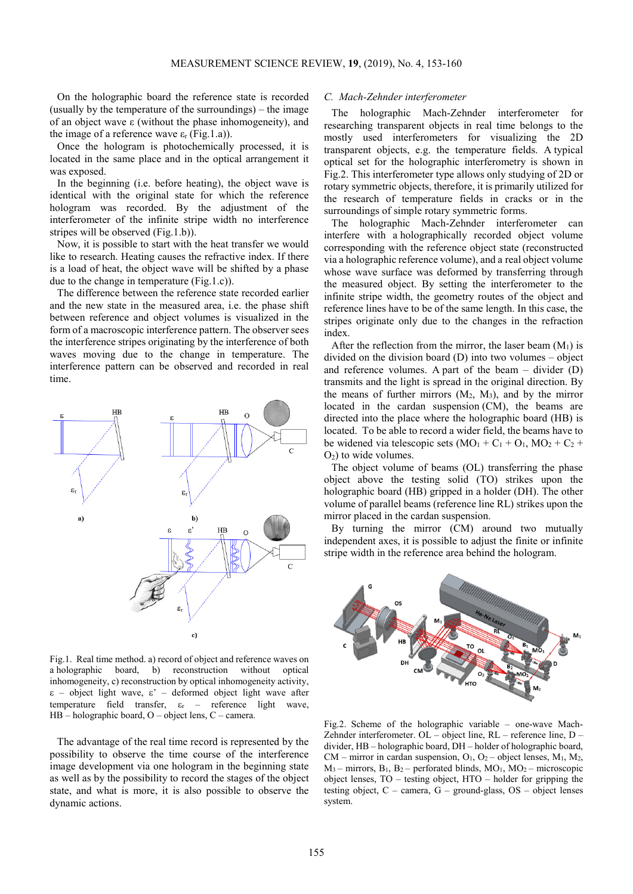On the holographic board the reference state is recorded (usually by the temperature of the surroundings) – the image of an object wave ε (without the phase inhomogeneity), and the image of a reference wave  $\varepsilon_r$  (Fig.1.a)).

Once the hologram is photochemically processed, it is located in the same place and in the optical arrangement it was exposed.

In the beginning (i.e. before heating), the object wave is identical with the original state for which the reference hologram was recorded. By the adjustment of the interferometer of the infinite stripe width no interference stripes will be observed (Fig.1.b)).

Now, it is possible to start with the heat transfer we would like to research. Heating causes the refractive index. If there is a load of heat, the object wave will be shifted by a phase due to the change in temperature (Fig.1.c)).

The difference between the reference state recorded earlier and the new state in the measured area, i.e. the phase shift between reference and object volumes is visualized in the form of a macroscopic interference pattern. The observer sees the interference stripes originating by the interference of both waves moving due to the change in temperature. The interference pattern can be observed and recorded in real time.



Fig.1. Real time method. a) record of object and reference waves on a holographic board, b) reconstruction without optical inhomogeneity, c) reconstruction by optical inhomogeneity activity, ε – object light wave, ε' – deformed object light wave after temperature field transfer, εr – reference light wave, HB – holographic board, O – object lens, C – camera.

The advantage of the real time record is represented by the possibility to observe the time course of the interference image development via one hologram in the beginning state as well as by the possibility to record the stages of the object state, and what is more, it is also possible to observe the dynamic actions.

### *C. Mach-Zehnder interferometer*

The holographic Mach-Zehnder interferometer for researching transparent objects in real time belongs to the mostly used interferometers for visualizing the 2D transparent objects, e.g. the temperature fields. A typical optical set for the holographic interferometry is shown in Fig.2. This interferometer type allows only studying of 2D or rotary symmetric objects, therefore, it is primarily utilized for the research of temperature fields in cracks or in the surroundings of simple rotary symmetric forms.

The holographic Mach-Zehnder interferometer can interfere with a holographically recorded object volume corresponding with the reference object state (reconstructed via a holographic reference volume), and a real object volume whose wave surface was deformed by transferring through the measured object. By setting the interferometer to the infinite stripe width, the geometry routes of the object and reference lines have to be of the same length. In this case, the stripes originate only due to the changes in the refraction index.

After the reflection from the mirror, the laser beam  $(M_1)$  is divided on the division board (D) into two volumes – object and reference volumes. A part of the beam – divider (D) transmits and the light is spread in the original direction. By the means of further mirrors  $(M_2, M_3)$ , and by the mirror located in the cardan suspension (CM), the beams are directed into the place where the holographic board (HB) is located. To be able to record a wider field, the beams have to be widened via telescopic sets  $(MO_1 + C_1 + O_1, MO_2 + C_2 +$  $O<sub>2</sub>$ ) to wide volumes.

The object volume of beams (OL) transferring the phase object above the testing solid (TO) strikes upon the holographic board (HB) gripped in a holder (DH). The other volume of parallel beams (reference line RL) strikes upon the mirror placed in the cardan suspension.

By turning the mirror (CM) around two mutually independent axes, it is possible to adjust the finite or infinite stripe width in the reference area behind the hologram.



Fig.2. Scheme of the holographic variable – one-wave Mach-Zehnder interferometer. OL – object line, RL – reference line, D – divider, HB – holographic board, DH – holder of holographic board,  $CM$  – mirror in cardan suspension,  $O_1$ ,  $O_2$  – object lenses,  $M_1$ ,  $M_2$ ,  $M_3$  – mirrors,  $B_1$ ,  $B_2$  – perforated blinds,  $MO_1$ ,  $MO_2$  – microscopic object lenses, TO – testing object, HTO – holder for gripping the testing object,  $C - \text{ camera}$ ,  $G - \text{ground-glass}$ ,  $OS - \text{object}$  lenses system.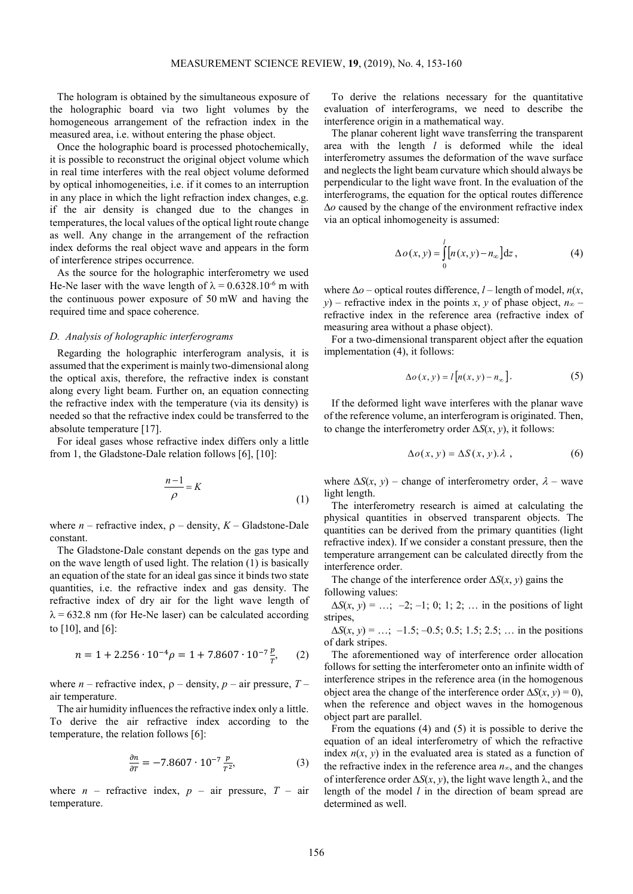The hologram is obtained by the simultaneous exposure of the holographic board via two light volumes by the homogeneous arrangement of the refraction index in the measured area, i.e. without entering the phase object.

Once the holographic board is processed photochemically, it is possible to reconstruct the original object volume which in real time interferes with the real object volume deformed by optical inhomogeneities, i.e. if it comes to an interruption in any place in which the light refraction index changes, e.g. if the air density is changed due to the changes in temperatures, the local values of the optical light route change as well. Any change in the arrangement of the refraction index deforms the real object wave and appears in the form of interference stripes occurrence.

As the source for the holographic interferometry we used He-Ne laser with the wave length of  $\lambda = 0.6328.10^{-6}$  m with the continuous power exposure of 50 mW and having the required time and space coherence.

# *D. Analysis of holographic interferograms*

Regarding the holographic interferogram analysis, it is assumed that the experiment is mainly two-dimensional along the optical axis, therefore, the refractive index is constant along every light beam. Further on, an equation connecting the refractive index with the temperature (via its density) is needed so that the refractive index could be transferred to the absolute temperature [17].

For ideal gases whose refractive index differs only a little from 1, the Gladstone-Dale relation follows [6], [10]:

$$
\frac{n-1}{\rho} = K\tag{1}
$$

where  $n$  – refractive index,  $\rho$  – density,  $K$  – Gladstone-Dale constant.

The Gladstone-Dale constant depends on the gas type and on the wave length of used light. The relation (1) is basically an equation of the state for an ideal gas since it binds two state quantities, i.e. the refractive index and gas density. The refractive index of dry air for the light wave length of  $\lambda$  = 632.8 nm (for He-Ne laser) can be calculated according to  $[10]$ , and  $[6]$ :

$$
n = 1 + 2.256 \cdot 10^{-4} \rho = 1 + 7.8607 \cdot 10^{-7} \frac{p}{r}, \qquad (2)
$$

where *n* – refractive index,  $\rho$  – density, *p* – air pressure, *T* – air temperature.

The air humidity influences the refractive index only a little. To derive the air refractive index according to the temperature, the relation follows [6]:

$$
\frac{\partial n}{\partial T} = -7.8607 \cdot 10^{-7} \frac{p}{T^2},\tag{3}
$$

where  $n$  – refractive index,  $p$  – air pressure,  $T$  – air temperature.

To derive the relations necessary for the quantitative evaluation of interferograms, we need to describe the interference origin in a mathematical way.

The planar coherent light wave transferring the transparent area with the length *l* is deformed while the ideal interferometry assumes the deformation of the wave surface and neglects the light beam curvature which should always be perpendicular to the light wave front. In the evaluation of the interferograms, the equation for the optical routes difference ∆*o* caused by the change of the environment refractive index via an optical inhomogeneity is assumed:

$$
\Delta o(x, y) = \int_{0}^{l} [n(x, y) - n_{\infty}] dz,
$$
 (4)

where  $\Delta$ *o* – optical routes difference, *l* – length of model, *n*(*x*, *y*) – refractive index in the points *x*, *y* of phase object, *n*∞ – refractive index in the reference area (refractive index of measuring area without a phase object).

For a two-dimensional transparent object after the equation implementation (4), it follows:

$$
\Delta o(x, y) = l [n(x, y) - n_{\infty}]. \tag{5}
$$

If the deformed light wave interferes with the planar wave of the reference volume, an interferogram is originated. Then, to change the interferometry order ∆*S*(*x*, *y*), it follows:

$$
\Delta o(x, y) = \Delta S(x, y) . \lambda , \qquad (6)
$$

where  $\Delta S(x, y)$  – change of interferometry order,  $\lambda$  – wave light length.

The interferometry research is aimed at calculating the physical quantities in observed transparent objects. The quantities can be derived from the primary quantities (light refractive index). If we consider a constant pressure, then the temperature arrangement can be calculated directly from the interference order.

The change of the interference order ∆*S*(*x*, *y*) gains the following values:

 $\Delta S(x, y) = ...; -2; -1; 0; 1; 2; ...$  in the positions of light stripes,

∆*S*(*x*, *y*) = …; –1.5; –0.5; 0.5; 1.5; 2.5; … in the positions of dark stripes.

The aforementioned way of interference order allocation follows for setting the interferometer onto an infinite width of interference stripes in the reference area (in the homogenous object area the change of the interference order  $\Delta S(x, y) = 0$ ), when the reference and object waves in the homogenous object part are parallel.

From the equations (4) and (5) it is possible to derive the equation of an ideal interferometry of which the refractive index  $n(x, y)$  in the evaluated area is stated as a function of the refractive index in the reference area *n*∞, and the changes of interference order ∆*S*(*x*, *y*), the light wave length λ, and the length of the model *l* in the direction of beam spread are determined as well.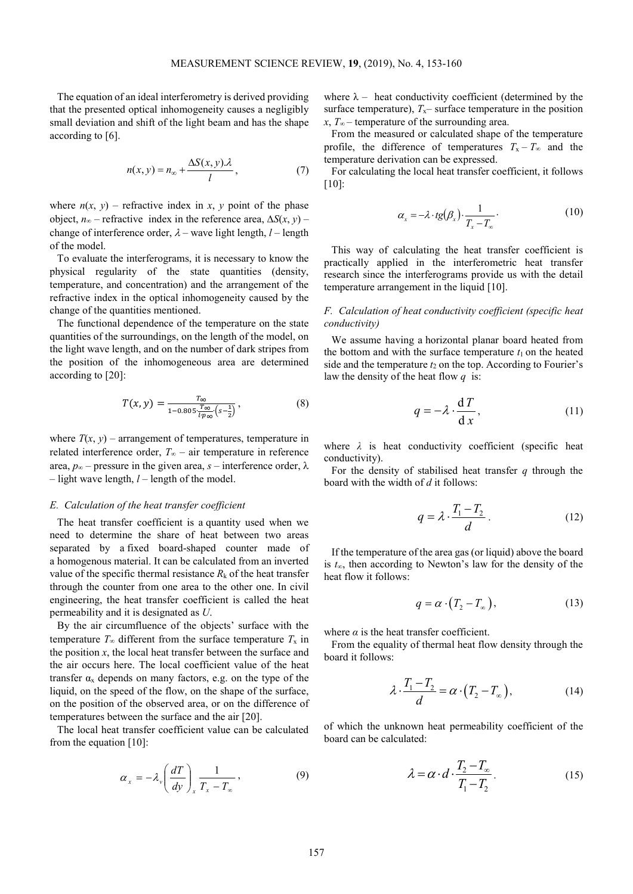The equation of an ideal interferometry is derived providing that the presented optical inhomogeneity causes a negligibly small deviation and shift of the light beam and has the shape according to [6].

$$
n(x, y) = n_{\infty} + \frac{\Delta S(x, y) \lambda}{l}, \qquad (7)
$$

where  $n(x, y)$  – refractive index in *x*, *y* point of the phase object, *n*∞ – refractive index in the reference area,  $\Delta S(x, y)$  – change of interference order,  $\lambda$  – wave light length,  $l$  – length of the model.

To evaluate the interferograms, it is necessary to know the physical regularity of the state quantities (density, temperature, and concentration) and the arrangement of the refractive index in the optical inhomogeneity caused by the change of the quantities mentioned.

The functional dependence of the temperature on the state quantities of the surroundings, on the length of the model, on the light wave length, and on the number of dark stripes from the position of the inhomogeneous area are determined according to [20]:

$$
T(x,y) = \frac{\tau_{\infty}}{1 - 0.805 \frac{\tau_{\infty}}{l p_{\infty}} (s - \frac{1}{2})},\tag{8}
$$

where  $T(x, y)$  – arrangement of temperatures, temperature in related interference order, *T*∞ – air temperature in reference area,  $p<sub>∞</sub>$  – pressure in the given area, *s* – interference order,  $\lambda$ – light wave length, *l* – length of the model.

## *E. Calculation of the heat transfer coefficient*

The heat transfer coefficient is a quantity used when we need to determine the share of heat between two areas separated by a fixed board-shaped counter made of a homogenous material. It can be calculated from an inverted value of the specific thermal resistance  $R_k$  of the heat transfer through the counter from one area to the other one. In civil engineering, the heat transfer coefficient is called the heat permeability and it is designated as *U*.

By the air circumfluence of the objects' surface with the temperature  $T_{\infty}$  different from the surface temperature  $T_x$  in the position  $x$ , the local heat transfer between the surface and the air occurs here. The local coefficient value of the heat transfer  $\alpha_x$  depends on many factors, e.g. on the type of the liquid, on the speed of the flow, on the shape of the surface, on the position of the observed area, or on the difference of temperatures between the surface and the air [20].

The local heat transfer coefficient value can be calculated from the equation [10]:

$$
\alpha_x = -\lambda_v \left(\frac{dT}{dy}\right)_x \frac{1}{T_x - T_\infty},\tag{9}
$$

where  $\lambda$  – heat conductivity coefficient (determined by the surface temperature),  $T_x$ – surface temperature in the position *x*, *T*∞ – temperature of the surrounding area.

From the measured or calculated shape of the temperature profile, the difference of temperatures  $T_x - T_\infty$  and the temperature derivation can be expressed.

For calculating the local heat transfer coefficient, it follows [10]:

$$
\alpha_x = -\lambda \cdot tg(\beta_x) \cdot \frac{1}{T_x - T_\infty}.
$$
\n(10)

This way of calculating the heat transfer coefficient is practically applied in the interferometric heat transfer research since the interferograms provide us with the detail temperature arrangement in the liquid [10].

# *F. Calculation of heat conductivity coefficient (specific heat conductivity)*

We assume having a horizontal planar board heated from the bottom and with the surface temperature  $t_1$  on the heated side and the temperature  $t_2$  on the top. According to Fourier's law the density of the heat flow *q* is:

$$
q = -\lambda \cdot \frac{dT}{dx},\qquad(11)
$$

where  $\lambda$  is heat conductivity coefficient (specific heat conductivity).

For the density of stabilised heat transfer *q* through the board with the width of *d* it follows:

$$
q = \lambda \cdot \frac{T_1 - T_2}{d} \tag{12}
$$

If the temperature of the area gas (or liquid) above the board is *t*∞, then according to Newton's law for the density of the heat flow it follows:

$$
q = \alpha \cdot (T_2 - T_\infty), \tag{13}
$$

where  $\alpha$  is the heat transfer coefficient.

From the equality of thermal heat flow density through the board it follows:

$$
\lambda \cdot \frac{T_1 - T_2}{d} = \alpha \cdot (T_2 - T_\infty),\tag{14}
$$

of which the unknown heat permeability coefficient of the board can be calculated:

$$
\lambda = \alpha \cdot d \cdot \frac{T_2 - T_\infty}{T_1 - T_2}.
$$
 (15)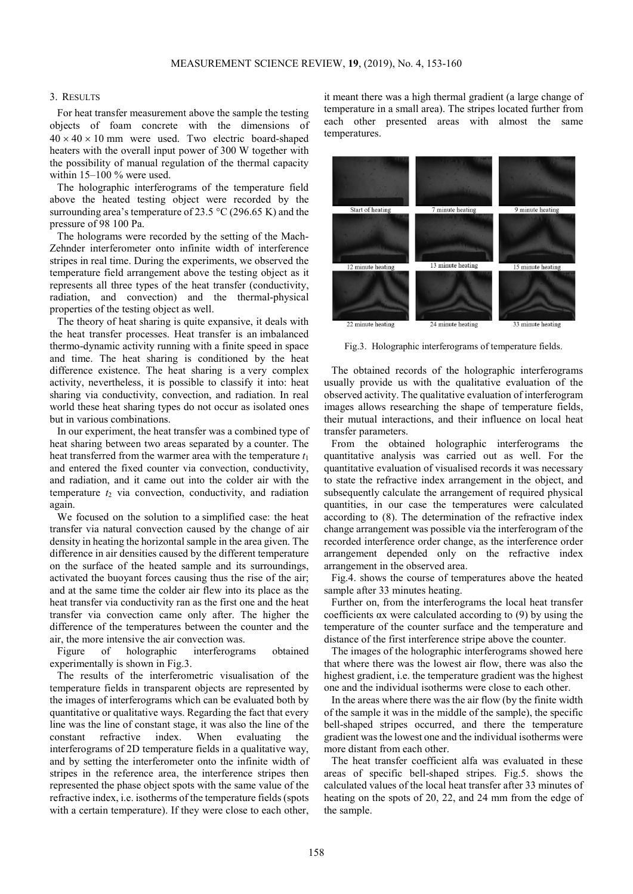### 3. RESULTS

For heat transfer measurement above the sample the testing objects of foam concrete with the dimensions of  $40 \times 40 \times 10$  mm were used. Two electric board-shaped heaters with the overall input power of 300 W together with the possibility of manual regulation of the thermal capacity within 15–100 % were used.

The holographic interferograms of the temperature field above the heated testing object were recorded by the surrounding area's temperature of 23.5 °C (296.65 K) and the pressure of 98 100 Pa.

The holograms were recorded by the setting of the Mach-Zehnder interferometer onto infinite width of interference stripes in real time. During the experiments, we observed the temperature field arrangement above the testing object as it represents all three types of the heat transfer (conductivity, radiation, and convection) and the thermal-physical properties of the testing object as well.

The theory of heat sharing is quite expansive, it deals with the heat transfer processes. Heat transfer is an imbalanced thermo-dynamic activity running with a finite speed in space and time. The heat sharing is conditioned by the heat difference existence. The heat sharing is a very complex activity, nevertheless, it is possible to classify it into: heat sharing via conductivity, convection, and radiation. In real world these heat sharing types do not occur as isolated ones but in various combinations.

In our experiment, the heat transfer was a combined type of heat sharing between two areas separated by a counter. The heat transferred from the warmer area with the temperature  $t_1$ and entered the fixed counter via convection, conductivity, and radiation, and it came out into the colder air with the temperature  $t_2$  via convection, conductivity, and radiation again.

We focused on the solution to a simplified case: the heat transfer via natural convection caused by the change of air density in heating the horizontal sample in the area given. The difference in air densities caused by the different temperature on the surface of the heated sample and its surroundings, activated the buoyant forces causing thus the rise of the air; and at the same time the colder air flew into its place as the heat transfer via conductivity ran as the first one and the heat transfer via convection came only after. The higher the difference of the temperatures between the counter and the air, the more intensive the air convection was.

Figure of holographic interferograms obtained experimentally is shown in Fig.3.

The results of the interferometric visualisation of the temperature fields in transparent objects are represented by the images of interferograms which can be evaluated both by quantitative or qualitative ways. Regarding the fact that every line was the line of constant stage, it was also the line of the constant refractive index. When evaluating the interferograms of 2D temperature fields in a qualitative way, and by setting the interferometer onto the infinite width of stripes in the reference area, the interference stripes then represented the phase object spots with the same value of the refractive index, i.e. isotherms of the temperature fields (spots with a certain temperature). If they were close to each other,

it meant there was a high thermal gradient (a large change of temperature in a small area). The stripes located further from each other presented areas with almost the same temperatures.



Fig.3. Holographic interferograms of temperature fields.

The obtained records of the holographic interferograms usually provide us with the qualitative evaluation of the observed activity. The qualitative evaluation of interferogram images allows researching the shape of temperature fields, their mutual interactions, and their influence on local heat transfer parameters.

From the obtained holographic interferograms the quantitative analysis was carried out as well. For the quantitative evaluation of visualised records it was necessary to state the refractive index arrangement in the object, and subsequently calculate the arrangement of required physical quantities, in our case the temperatures were calculated according to (8). The determination of the refractive index change arrangement was possible via the interferogram of the recorded interference order change, as the interference order arrangement depended only on the refractive index arrangement in the observed area.

Fig.4. shows the course of temperatures above the heated sample after 33 minutes heating.

Further on, from the interferograms the local heat transfer coefficients  $\alpha x$  were calculated according to (9) by using the temperature of the counter surface and the temperature and distance of the first interference stripe above the counter.

The images of the holographic interferograms showed here that where there was the lowest air flow, there was also the highest gradient, i.e. the temperature gradient was the highest one and the individual isotherms were close to each other.

In the areas where there was the air flow (by the finite width of the sample it was in the middle of the sample), the specific bell-shaped stripes occurred, and there the temperature gradient was the lowest one and the individual isotherms were more distant from each other.

The heat transfer coefficient alfa was evaluated in these areas of specific bell-shaped stripes. Fig.5. shows the calculated values of the local heat transfer after 33 minutes of heating on the spots of 20, 22, and 24 mm from the edge of the sample.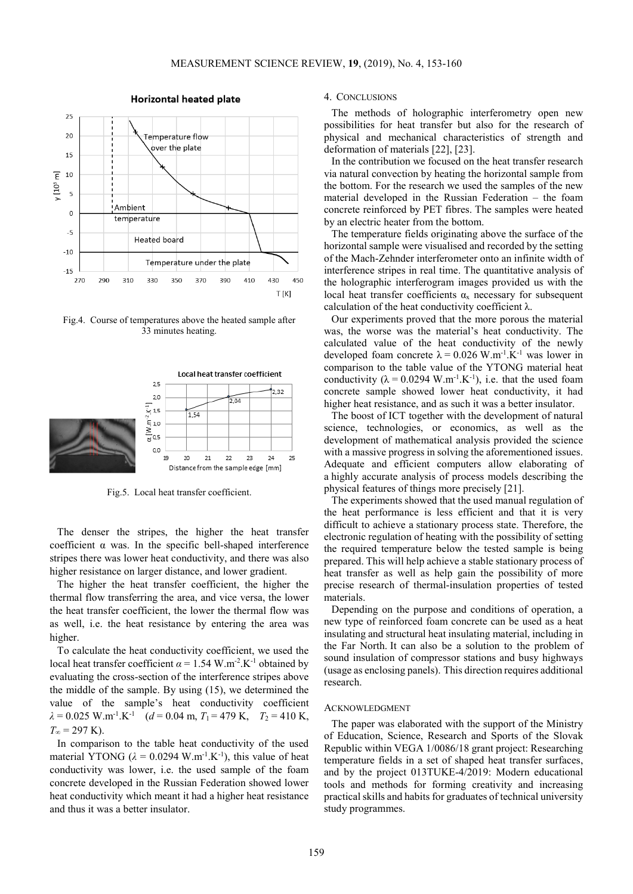

**Horizontal heated plate** 

Fig.4. Course of temperatures above the heated sample after 33 minutes heating.



Fig.5. Local heat transfer coefficient.

The denser the stripes, the higher the heat transfer coefficient  $\alpha$  was. In the specific bell-shaped interference stripes there was lower heat conductivity, and there was also higher resistance on larger distance, and lower gradient.

The higher the heat transfer coefficient, the higher the thermal flow transferring the area, and vice versa, the lower the heat transfer coefficient, the lower the thermal flow was as well, i.e. the heat resistance by entering the area was higher.

To calculate the heat conductivity coefficient, we used the local heat transfer coefficient  $\alpha = 1.54$  W.m<sup>-2</sup>.K<sup>-1</sup> obtained by evaluating the cross-section of the interference stripes above the middle of the sample. By using (15), we determined the value of the sample's heat conductivity coefficient  $\lambda = 0.025 \text{ W.m}^{-1}$ .K<sup>-1</sup> (*d* = 0.04 m, *T*<sub>1</sub> = 479 K, *T*<sub>2</sub> = 410 K,  $T_{\infty}$  = 297 K).

In comparison to the table heat conductivity of the used material YTONG ( $\lambda = 0.0294$  W.m<sup>-1</sup>.K<sup>-1</sup>), this value of heat conductivity was lower, i.e. the used sample of the foam concrete developed in the Russian Federation showed lower heat conductivity which meant it had a higher heat resistance and thus it was a better insulator.

### 4. CONCLUSIONS

The methods of holographic interferometry open new possibilities for heat transfer but also for the research of physical and mechanical characteristics of strength and deformation of materials [22], [23].

In the contribution we focused on the heat transfer research via natural convection by heating the horizontal sample from the bottom. For the research we used the samples of the new material developed in the Russian Federation – the foam concrete reinforced by PET fibres. The samples were heated by an electric heater from the bottom.

The temperature fields originating above the surface of the horizontal sample were visualised and recorded by the setting of the Mach-Zehnder interferometer onto an infinite width of interference stripes in real time. The quantitative analysis of the holographic interferogram images provided us with the local heat transfer coefficients  $\alpha_x$  necessary for subsequent calculation of the heat conductivity coefficient  $\lambda$ .

Our experiments proved that the more porous the material was, the worse was the material's heat conductivity. The calculated value of the heat conductivity of the newly developed foam concrete  $\lambda = 0.026$  W.m<sup>-1</sup>.K<sup>-1</sup> was lower in comparison to the table value of the YTONG material heat conductivity ( $\lambda = 0.0294$  W.m<sup>-1</sup>.K<sup>-1</sup>), i.e. that the used foam concrete sample showed lower heat conductivity, it had higher heat resistance, and as such it was a better insulator.

The boost of ICT together with the development of natural science, technologies, or economics, as well as the development of mathematical analysis provided the science with a massive progress in solving the aforementioned issues. Adequate and efficient computers allow elaborating of a highly accurate analysis of process models describing the physical features of things more precisely [21].

The experiments showed that the used manual regulation of the heat performance is less efficient and that it is very difficult to achieve a stationary process state. Therefore, the electronic regulation of heating with the possibility of setting the required temperature below the tested sample is being prepared. This will help achieve a stable stationary process of heat transfer as well as help gain the possibility of more precise research of thermal-insulation properties of tested materials.

Depending on the purpose and conditions of operation, a new type of reinforced foam concrete can be used as a heat insulating and structural heat insulating material, including in the Far North. It can also be a solution to the problem of sound insulation of compressor stations and busy highways (usage as enclosing panels). This direction requires additional research.

## ACKNOWLEDGMENT

The paper was elaborated with the support of the Ministry of Education, Science, Research and Sports of the Slovak Republic within VEGA 1/0086/18 grant project: Researching temperature fields in a set of shaped heat transfer surfaces, and by the project 013TUKE-4/2019: Modern educational tools and methods for forming creativity and increasing practical skills and habits for graduates of technical university study programmes.